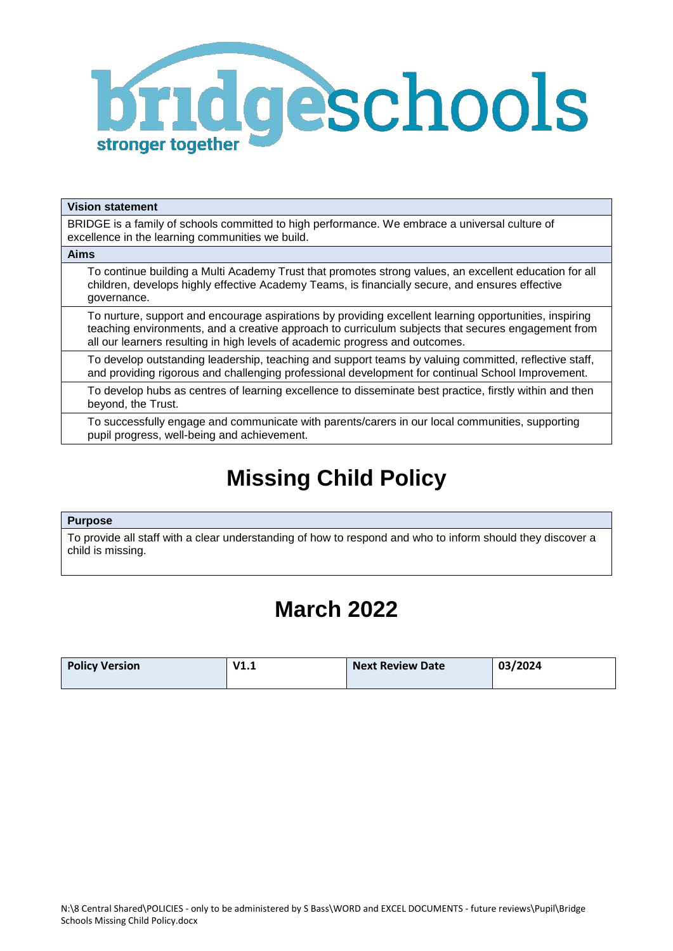

#### **Vision statement**

**Aims** 

BRIDGE is a family of schools committed to high performance. We embrace a universal culture of excellence in the learning communities we build.

To continue building a Multi Academy Trust that promotes strong values, an excellent education for all children, develops highly effective Academy Teams, is financially secure, and ensures effective governance.

To nurture, support and encourage aspirations by providing excellent learning opportunities, inspiring teaching environments, and a creative approach to curriculum subjects that secures engagement from all our learners resulting in high levels of academic progress and outcomes.

To develop outstanding leadership, teaching and support teams by valuing committed, reflective staff, and providing rigorous and challenging professional development for continual School Improvement.

To develop hubs as centres of learning excellence to disseminate best practice, firstly within and then beyond, the Trust.

To successfully engage and communicate with parents/carers in our local communities, supporting pupil progress, well-being and achievement.

# **Missing Child Policy**

#### **Purpose**

To provide all staff with a clear understanding of how to respond and who to inform should they discover a child is missing.

## **March 2022**

| <b>Policy Version</b> | V1.1 | <b>Next Review Date</b> | 03/2024 |
|-----------------------|------|-------------------------|---------|
|                       |      |                         |         |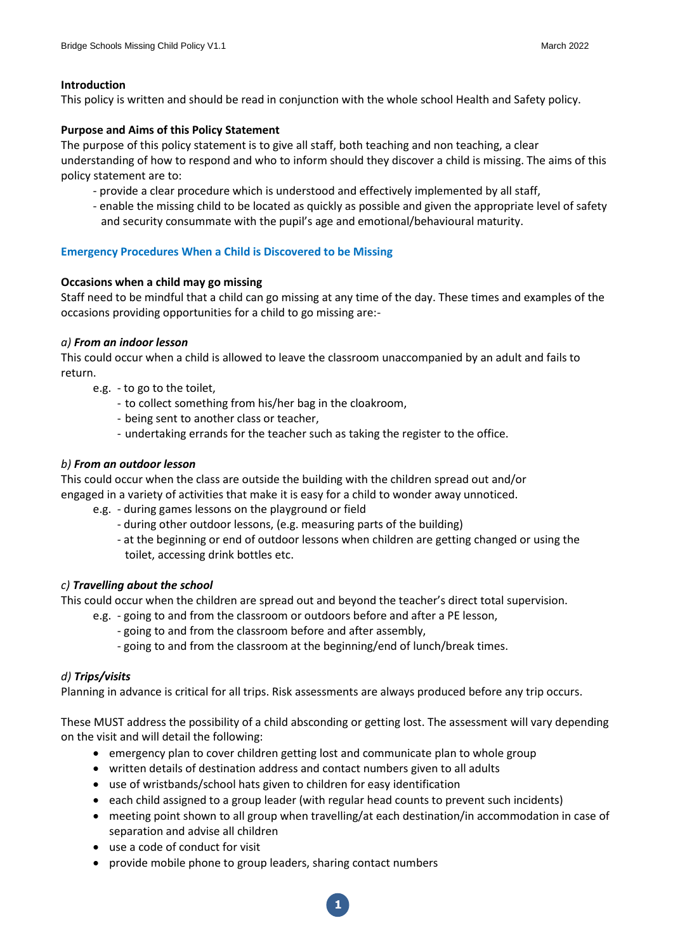#### **Introduction**

This policy is written and should be read in conjunction with the whole school Health and Safety policy.

#### **Purpose and Aims of this Policy Statement**

The purpose of this policy statement is to give all staff, both teaching and non teaching, a clear understanding of how to respond and who to inform should they discover a child is missing. The aims of this policy statement are to:

- provide a clear procedure which is understood and effectively implemented by all staff,
- enable the missing child to be located as quickly as possible and given the appropriate level of safety and security consummate with the pupil's age and emotional/behavioural maturity.

#### **Emergency Procedures When a Child is Discovered to be Missing**

#### **Occasions when a child may go missing**

Staff need to be mindful that a child can go missing at any time of the day. These times and examples of the occasions providing opportunities for a child to go missing are:-

#### *a) From an indoor lesson*

This could occur when a child is allowed to leave the classroom unaccompanied by an adult and fails to return.

- e.g. to go to the toilet,
	- to collect something from his/her bag in the cloakroom,
	- being sent to another class or teacher,
	- undertaking errands for the teacher such as taking the register to the office.

#### *b) From an outdoor lesson*

This could occur when the class are outside the building with the children spread out and/or engaged in a variety of activities that make it is easy for a child to wonder away unnoticed.

- e.g. during games lessons on the playground or field
	- during other outdoor lessons, (e.g. measuring parts of the building)
	- at the beginning or end of outdoor lessons when children are getting changed or using the toilet, accessing drink bottles etc.

#### *c) Travelling about the school*

This could occur when the children are spread out and beyond the teacher's direct total supervision.

- e.g. going to and from the classroom or outdoors before and after a PE lesson,
	- going to and from the classroom before and after assembly,
	- going to and from the classroom at the beginning/end of lunch/break times.

#### *d) Trips/visits*

Planning in advance is critical for all trips. Risk assessments are always produced before any trip occurs.

These MUST address the possibility of a child absconding or getting lost. The assessment will vary depending on the visit and will detail the following:

- emergency plan to cover children getting lost and communicate plan to whole group
- written details of destination address and contact numbers given to all adults
- use of wristbands/school hats given to children for easy identification
- each child assigned to a group leader (with regular head counts to prevent such incidents)
- meeting point shown to all group when travelling/at each destination/in accommodation in case of separation and advise all children
- use a code of conduct for visit
- provide mobile phone to group leaders, sharing contact numbers

**1**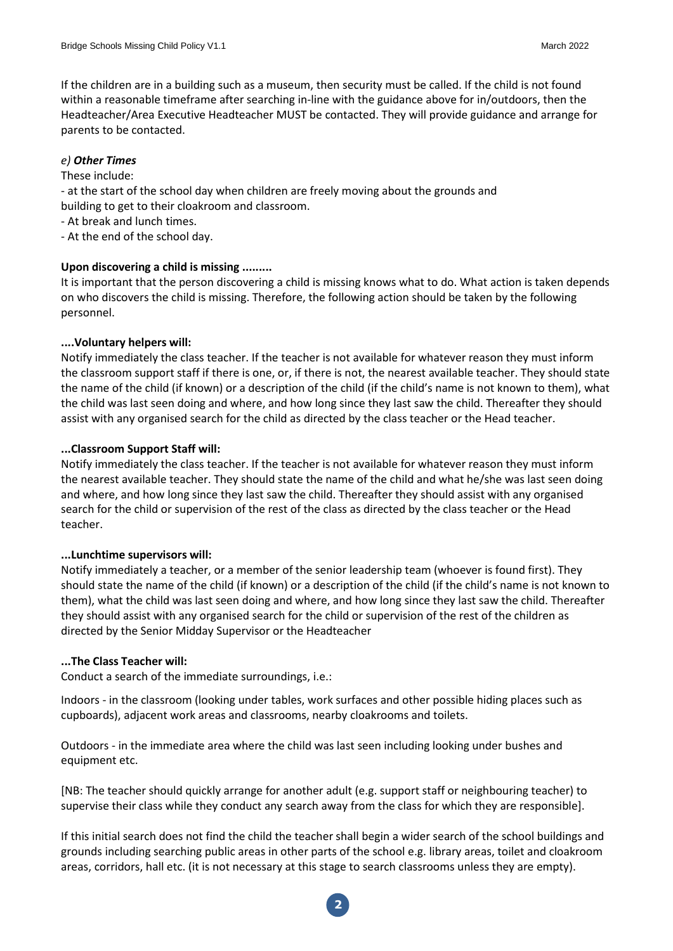If the children are in a building such as a museum, then security must be called. If the child is not found within a reasonable timeframe after searching in-line with the guidance above for in/outdoors, then the Headteacher/Area Executive Headteacher MUST be contacted. They will provide guidance and arrange for parents to be contacted.

#### *e) Other Times*

#### These include:

- at the start of the school day when children are freely moving about the grounds and building to get to their cloakroom and classroom.

- At break and lunch times.
- At the end of the school day.

#### **Upon discovering a child is missing .........**

It is important that the person discovering a child is missing knows what to do. What action is taken depends on who discovers the child is missing. Therefore, the following action should be taken by the following personnel.

#### **....Voluntary helpers will:**

Notify immediately the class teacher. If the teacher is not available for whatever reason they must inform the classroom support staff if there is one, or, if there is not, the nearest available teacher. They should state the name of the child (if known) or a description of the child (if the child's name is not known to them), what the child was last seen doing and where, and how long since they last saw the child. Thereafter they should assist with any organised search for the child as directed by the class teacher or the Head teacher.

#### **...Classroom Support Staff will:**

Notify immediately the class teacher. If the teacher is not available for whatever reason they must inform the nearest available teacher. They should state the name of the child and what he/she was last seen doing and where, and how long since they last saw the child. Thereafter they should assist with any organised search for the child or supervision of the rest of the class as directed by the class teacher or the Head teacher.

#### **...Lunchtime supervisors will:**

Notify immediately a teacher, or a member of the senior leadership team (whoever is found first). They should state the name of the child (if known) or a description of the child (if the child's name is not known to them), what the child was last seen doing and where, and how long since they last saw the child. Thereafter they should assist with any organised search for the child or supervision of the rest of the children as directed by the Senior Midday Supervisor or the Headteacher

#### **...The Class Teacher will:**

Conduct a search of the immediate surroundings, i.e.:

Indoors - in the classroom (looking under tables, work surfaces and other possible hiding places such as cupboards), adjacent work areas and classrooms, nearby cloakrooms and toilets.

Outdoors - in the immediate area where the child was last seen including looking under bushes and equipment etc.

[NB: The teacher should quickly arrange for another adult (e.g. support staff or neighbouring teacher) to supervise their class while they conduct any search away from the class for which they are responsible].

If this initial search does not find the child the teacher shall begin a wider search of the school buildings and grounds including searching public areas in other parts of the school e.g. library areas, toilet and cloakroom areas, corridors, hall etc. (it is not necessary at this stage to search classrooms unless they are empty).

**2**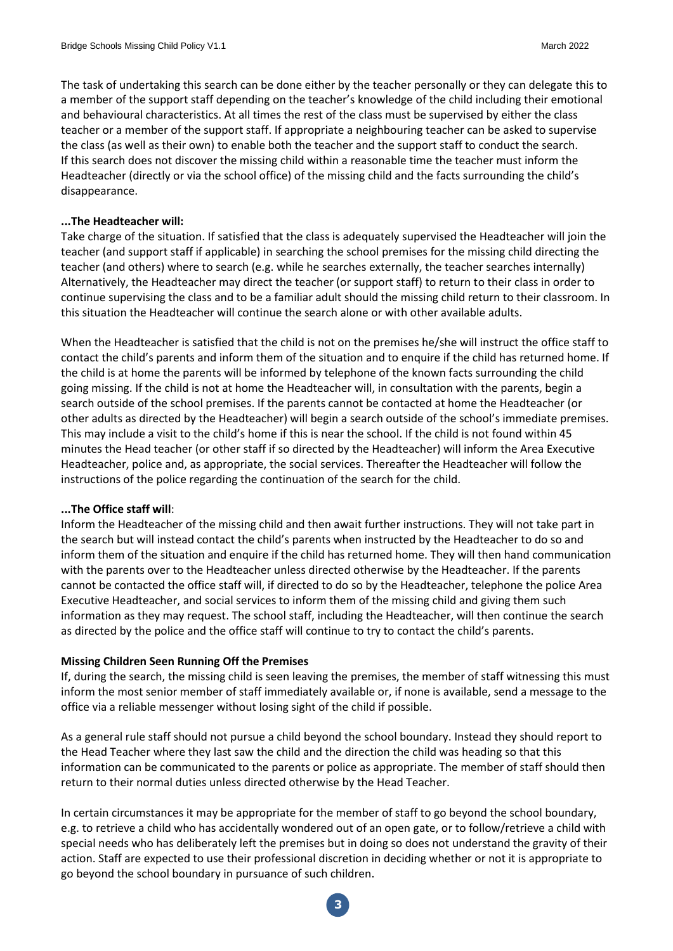The task of undertaking this search can be done either by the teacher personally or they can delegate this to a member of the support staff depending on the teacher's knowledge of the child including their emotional and behavioural characteristics. At all times the rest of the class must be supervised by either the class teacher or a member of the support staff. If appropriate a neighbouring teacher can be asked to supervise the class (as well as their own) to enable both the teacher and the support staff to conduct the search. If this search does not discover the missing child within a reasonable time the teacher must inform the Headteacher (directly or via the school office) of the missing child and the facts surrounding the child's disappearance.

#### **...The Headteacher will:**

Take charge of the situation. If satisfied that the class is adequately supervised the Headteacher will join the teacher (and support staff if applicable) in searching the school premises for the missing child directing the teacher (and others) where to search (e.g. while he searches externally, the teacher searches internally) Alternatively, the Headteacher may direct the teacher (or support staff) to return to their class in order to continue supervising the class and to be a familiar adult should the missing child return to their classroom. In this situation the Headteacher will continue the search alone or with other available adults.

When the Headteacher is satisfied that the child is not on the premises he/she will instruct the office staff to contact the child's parents and inform them of the situation and to enquire if the child has returned home. If the child is at home the parents will be informed by telephone of the known facts surrounding the child going missing. If the child is not at home the Headteacher will, in consultation with the parents, begin a search outside of the school premises. If the parents cannot be contacted at home the Headteacher (or other adults as directed by the Headteacher) will begin a search outside of the school's immediate premises. This may include a visit to the child's home if this is near the school. If the child is not found within 45 minutes the Head teacher (or other staff if so directed by the Headteacher) will inform the Area Executive Headteacher, police and, as appropriate, the social services. Thereafter the Headteacher will follow the instructions of the police regarding the continuation of the search for the child.

#### **...The Office staff will**:

Inform the Headteacher of the missing child and then await further instructions. They will not take part in the search but will instead contact the child's parents when instructed by the Headteacher to do so and inform them of the situation and enquire if the child has returned home. They will then hand communication with the parents over to the Headteacher unless directed otherwise by the Headteacher. If the parents cannot be contacted the office staff will, if directed to do so by the Headteacher, telephone the police Area Executive Headteacher, and social services to inform them of the missing child and giving them such information as they may request. The school staff, including the Headteacher, will then continue the search as directed by the police and the office staff will continue to try to contact the child's parents.

#### **Missing Children Seen Running Off the Premises**

If, during the search, the missing child is seen leaving the premises, the member of staff witnessing this must inform the most senior member of staff immediately available or, if none is available, send a message to the office via a reliable messenger without losing sight of the child if possible.

As a general rule staff should not pursue a child beyond the school boundary. Instead they should report to the Head Teacher where they last saw the child and the direction the child was heading so that this information can be communicated to the parents or police as appropriate. The member of staff should then return to their normal duties unless directed otherwise by the Head Teacher.

In certain circumstances it may be appropriate for the member of staff to go beyond the school boundary, e.g. to retrieve a child who has accidentally wondered out of an open gate, or to follow/retrieve a child with special needs who has deliberately left the premises but in doing so does not understand the gravity of their action. Staff are expected to use their professional discretion in deciding whether or not it is appropriate to go beyond the school boundary in pursuance of such children.

**3**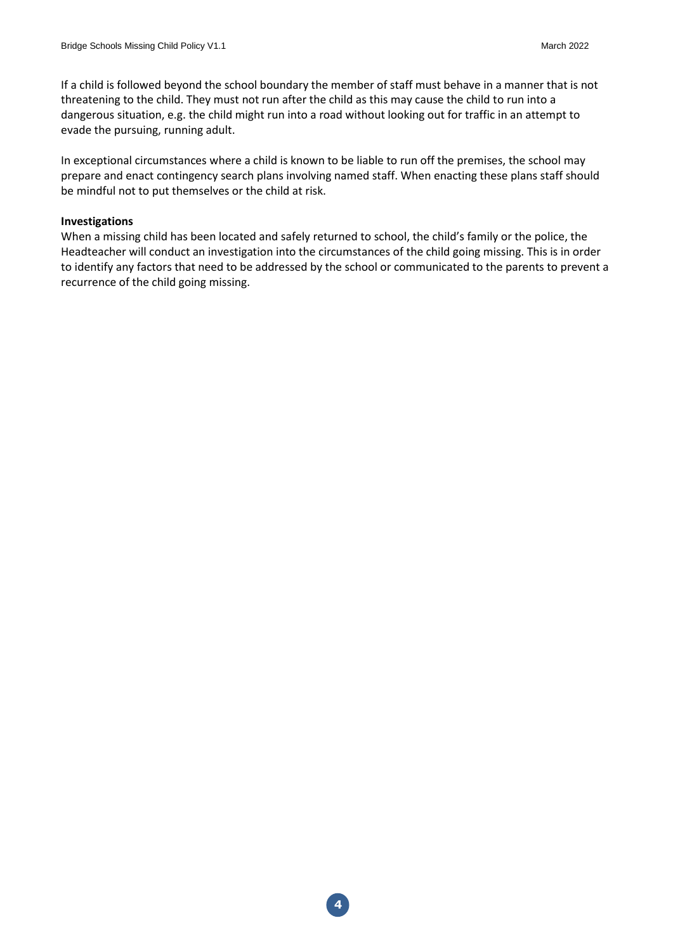If a child is followed beyond the school boundary the member of staff must behave in a manner that is not threatening to the child. They must not run after the child as this may cause the child to run into a dangerous situation, e.g. the child might run into a road without looking out for traffic in an attempt to evade the pursuing, running adult.

In exceptional circumstances where a child is known to be liable to run off the premises, the school may prepare and enact contingency search plans involving named staff. When enacting these plans staff should be mindful not to put themselves or the child at risk.

#### **Investigations**

When a missing child has been located and safely returned to school, the child's family or the police, the Headteacher will conduct an investigation into the circumstances of the child going missing. This is in order to identify any factors that need to be addressed by the school or communicated to the parents to prevent a recurrence of the child going missing.